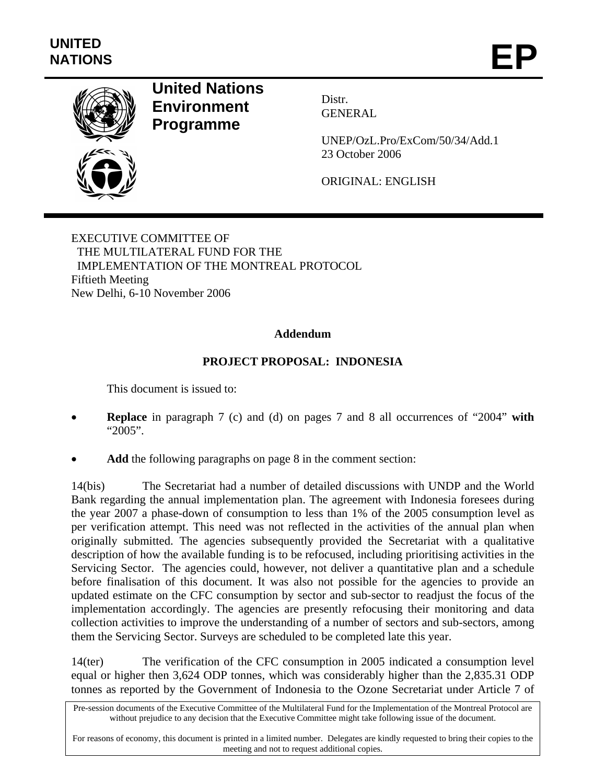

## **United Nations Environment Programme**

Distr. GENERAL

UNEP/OzL.Pro/ExCom/50/34/Add.1 23 October 2006

ORIGINAL: ENGLISH

EXECUTIVE COMMITTEE OF THE MULTILATERAL FUND FOR THE IMPLEMENTATION OF THE MONTREAL PROTOCOL Fiftieth Meeting New Delhi, 6-10 November 2006

## **Addendum**

## **PROJECT PROPOSAL: INDONESIA**

This document is issued to:

- **Replace** in paragraph 7 (c) and (d) on pages 7 and 8 all occurrences of "2004" **with** "2005".
- Add the following paragraphs on page 8 in the comment section:

14(bis) The Secretariat had a number of detailed discussions with UNDP and the World Bank regarding the annual implementation plan. The agreement with Indonesia foresees during the year 2007 a phase-down of consumption to less than 1% of the 2005 consumption level as per verification attempt. This need was not reflected in the activities of the annual plan when originally submitted. The agencies subsequently provided the Secretariat with a qualitative description of how the available funding is to be refocused, including prioritising activities in the Servicing Sector. The agencies could, however, not deliver a quantitative plan and a schedule before finalisation of this document. It was also not possible for the agencies to provide an updated estimate on the CFC consumption by sector and sub-sector to readjust the focus of the implementation accordingly. The agencies are presently refocusing their monitoring and data collection activities to improve the understanding of a number of sectors and sub-sectors, among them the Servicing Sector. Surveys are scheduled to be completed late this year.

14(ter) The verification of the CFC consumption in 2005 indicated a consumption level equal or higher then 3,624 ODP tonnes, which was considerably higher than the 2,835.31 ODP tonnes as reported by the Government of Indonesia to the Ozone Secretariat under Article 7 of

Pre-session documents of the Executive Committee of the Multilateral Fund for the Implementation of the Montreal Protocol are without prejudice to any decision that the Executive Committee might take following issue of the document.

For reasons of economy, this document is printed in a limited number. Delegates are kindly requested to bring their copies to the meeting and not to request additional copies.